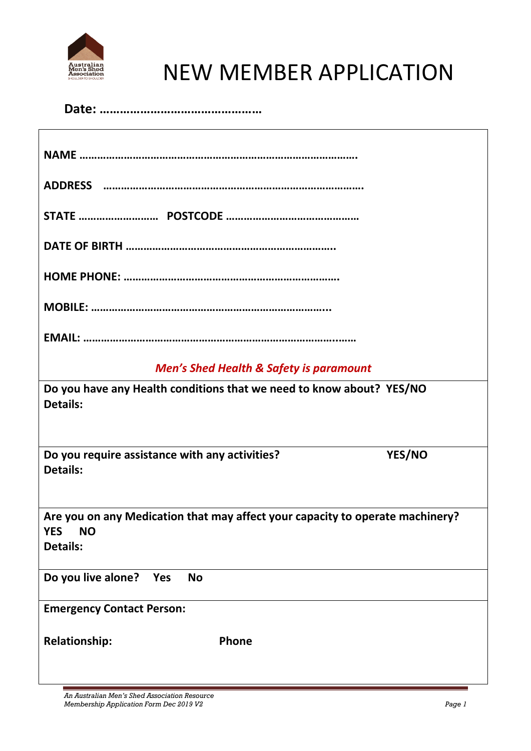

# NEW MEMBER APPLICATION

| <b>Men's Shed Health &amp; Safety is paramount</b>                                                         |  |  |
|------------------------------------------------------------------------------------------------------------|--|--|
| Do you have any Health conditions that we need to know about? YES/NO<br><b>Details:</b>                    |  |  |
| Do you require assistance with any activities?<br>YES/NO<br><b>Details:</b>                                |  |  |
| Are you on any Medication that may affect your capacity to operate machinery?<br>YES NO<br><b>Details:</b> |  |  |
| Do you live alone?<br>Yes<br><b>No</b>                                                                     |  |  |
| <b>Emergency Contact Person:</b>                                                                           |  |  |
| <b>Relationship:</b><br>Phone                                                                              |  |  |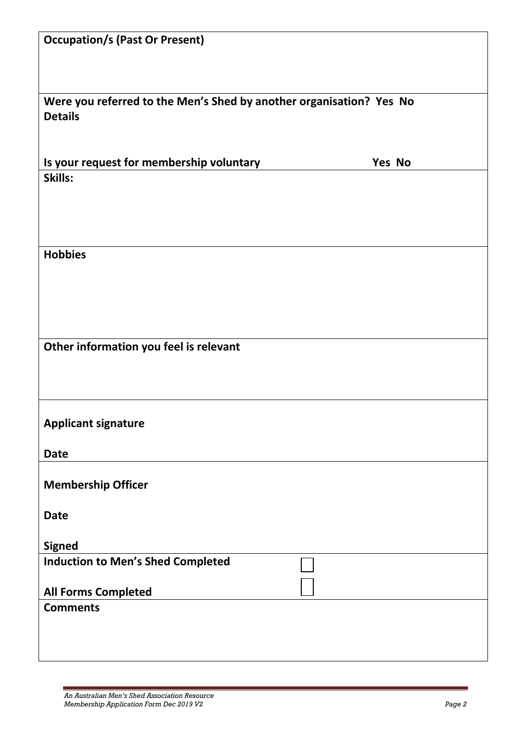| <b>Occupation/s (Past Or Present)</b>                                                 |        |  |
|---------------------------------------------------------------------------------------|--------|--|
|                                                                                       |        |  |
| Were you referred to the Men's Shed by another organisation? Yes No<br><b>Details</b> |        |  |
|                                                                                       |        |  |
| Is your request for membership voluntary                                              | Yes No |  |
| Skills:                                                                               |        |  |
| <b>Hobbies</b>                                                                        |        |  |
|                                                                                       |        |  |
|                                                                                       |        |  |
|                                                                                       |        |  |
| Other information you feel is relevant                                                |        |  |
| <b>Applicant signature</b>                                                            |        |  |
| <b>Date</b>                                                                           |        |  |
| <b>Membership Officer</b>                                                             |        |  |
| <b>Date</b>                                                                           |        |  |
| <b>Signed</b>                                                                         |        |  |
| <b>Induction to Men's Shed Completed</b>                                              |        |  |
| <b>All Forms Completed</b>                                                            |        |  |
| <b>Comments</b>                                                                       |        |  |